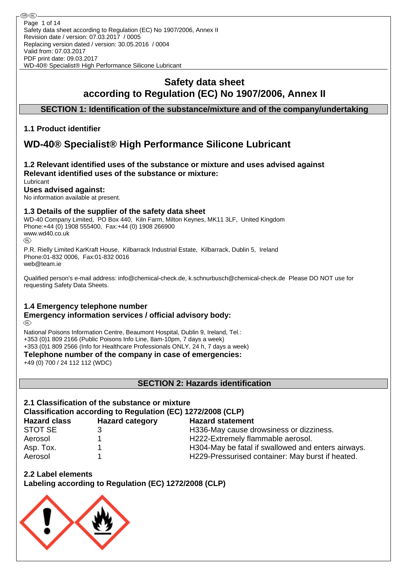# **Safety data sheet according to Regulation (EC) No 1907/2006, Annex II**

## **SECTION 1: Identification of the substance/mixture and of the company/undertaking**

## **1.1 Product identifier**

# **WD-40® Specialist® High Performance Silicone Lubricant**

#### **1.2 Relevant identified uses of the substance or mixture and uses advised against Relevant identified uses of the substance or mixture:** Lubricant

# **Uses advised against:**

No information available at present.

## **1.3 Details of the supplier of the safety data sheet**

WD-40 Company Limited, PO Box 440, Kiln Farm, Milton Keynes, MK11 3LF, United Kingdom Phone:+44 (0) 1908 555400, Fax:+44 (0) 1908 266900 www.wd40.co.uk (RD)

P.R. Rielly Limited KarKraft House, Kilbarrack Industrial Estate, Kilbarrack, Dublin 5, Ireland Phone:01-832 0006, Fax:01-832 0016 web@team.ie

Qualified person's e-mail address: info@chemical-check.de, k.schnurbusch@chemical-check.de Please DO NOT use for requesting Safety Data Sheets.

## **1.4 Emergency telephone number**

#### **Emergency information services / official advisory body:** (RD)

National Poisons Information Centre, Beaumont Hospital, Dublin 9, Ireland, Tel.: +353 (0)1 809 2166 (Public Poisons Info Line, 8am-10pm, 7 days a week) +353 (0)1 809 2566 (Info for Healthcare Professionals ONLY, 24 h, 7 days a week)

**Telephone number of the company in case of emergencies:**

+49 (0) 700 / 24 112 112 (WDC)

**SECTION 2: Hazards identification**

# **2.1 Classification of the substance or mixture Classification according to Regulation (EC) 1272/2008 (CLP)**

| <b>Hazard class</b> | <b>Hazard category</b> | <b>Hazard statement</b>                            |
|---------------------|------------------------|----------------------------------------------------|
| STOT SE             |                        | H336-May cause drowsiness or dizziness.            |
| Aerosol             |                        | H222-Extremely flammable aerosol.                  |
| Asp. Tox.           |                        | H304-May be fatal if swallowed and enters airways. |
| Aerosol             |                        | H229-Pressurised container: May burst if heated.   |

**2.2 Label elements**

**Labeling according to Regulation (EC) 1272/2008 (CLP)**

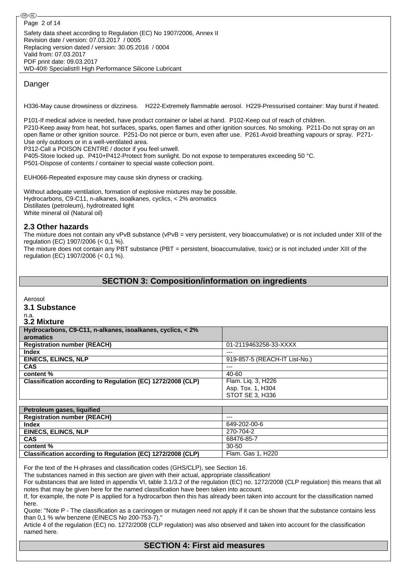### Danger

H336-May cause drowsiness or dizziness. H222-Extremely flammable aerosol. H229-Pressurised container: May burst if heated.

P101-If medical advice is needed, have product container or label at hand. P102-Keep out of reach of children. P210-Keep away from heat, hot surfaces, sparks, open flames and other ignition sources. No smoking. P211-Do not spray on an open flame or other ignition source. P251-Do not pierce or burn, even after use. P261-Avoid breathing vapours or spray. P271- Use only outdoors or in a well-ventilated area.

P312-Call a POISON CENTRE / doctor if you feel unwell.

P405-Store locked up. P410+P412-Protect from sunlight. Do not expose to temperatures exceeding 50 °C. P501-Dispose of contents / container to special waste collection point.

EUH066-Repeated exposure may cause skin dryness or cracking.

Without adequate ventilation, formation of explosive mixtures may be possible. Hydrocarbons, C9-C11, n-alkanes, isoalkanes, cyclics, < 2% aromatics Distillates (petroleum), hydrotreated light White mineral oil (Natural oil)

#### **2.3 Other hazards**

The mixture does not contain any vPvB substance (vPvB = very persistent, very bioaccumulative) or is not included under XIII of the regulation (EC) 1907/2006 (< 0,1 %).

The mixture does not contain any PBT substance (PBT = persistent, bioaccumulative, toxic) or is not included under XIII of the regulation (EC) 1907/2006 (< 0,1 %).

## **SECTION 3: Composition/information on ingredients**

Aerosol

#### **3.1 Substance**

n.a.

| 3.2 Mixture                                                 |                               |
|-------------------------------------------------------------|-------------------------------|
| Hydrocarbons, C9-C11, n-alkanes, isoalkanes, cyclics, < 2%  |                               |
| aromatics                                                   |                               |
| <b>Registration number (REACH)</b>                          | 01-2119463258-33-XXXX         |
| <b>Index</b>                                                | $---$                         |
| <b>EINECS, ELINCS, NLP</b>                                  | 919-857-5 (REACH-IT List-No.) |
| <b>CAS</b>                                                  | $---$                         |
| content %                                                   | 40-60                         |
| Classification according to Regulation (EC) 1272/2008 (CLP) | Flam. Liq. 3, H226            |
|                                                             | Asp. Tox. 1, H304             |
|                                                             | STOT SE 3, H336               |

| Petroleum gases, liquified                                  |                   |
|-------------------------------------------------------------|-------------------|
| <b>Registration number (REACH)</b>                          | $- - -$           |
| <b>Index</b>                                                | 649-202-00-6      |
| <b>EINECS, ELINCS, NLP</b>                                  | 270-704-2         |
| <b>CAS</b>                                                  | 68476-85-7        |
| content %                                                   | 30-50             |
| Classification according to Regulation (EC) 1272/2008 (CLP) | Flam. Gas 1, H220 |

For the text of the H-phrases and classification codes (GHS/CLP), see Section 16.

The substances named in this section are given with their actual, appropriate classification!

For substances that are listed in appendix VI, table 3.1/3.2 of the regulation (EC) no. 1272/2008 (CLP regulation) this means that all notes that may be given here for the named classification have been taken into account.

If, for example, the note P is applied for a hydrocarbon then this has already been taken into account for the classification named here.

Quote: "Note P - The classification as a carcinogen or mutagen need not apply if it can be shown that the substance contains less than 0,1 % w/w benzene (EINECS No 200-753-7)."

Article 4 of the regulation (EC) no. 1272/2008 (CLP regulation) was also observed and taken into account for the classification named here.

## **SECTION 4: First aid measures**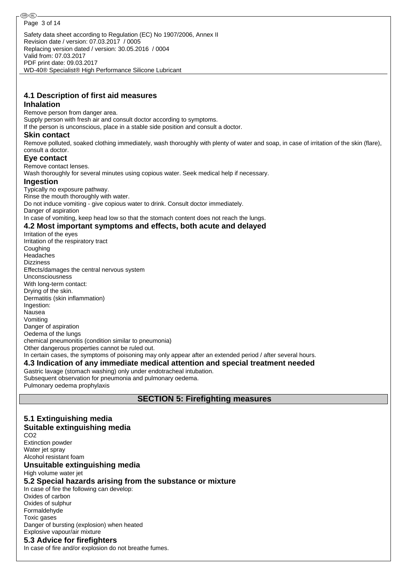WD-40® Specialist® High Performance Silicone Lubricant

#### **4.1 Description of first aid measures Inhalation**

Remove person from danger area. Supply person with fresh air and consult doctor according to symptoms. If the person is unconscious, place in a stable side position and consult a doctor.

#### **Skin contact**

Remove polluted, soaked clothing immediately, wash thoroughly with plenty of water and soap, in case of irritation of the skin (flare), consult a doctor.

#### **Eye contact**

Remove contact lenses.

Wash thoroughly for several minutes using copious water. Seek medical help if necessary.

#### **Ingestion**

Typically no exposure pathway. Rinse the mouth thoroughly with water. Do not induce vomiting - give copious water to drink. Consult doctor immediately. Danger of aspiration In case of vomiting, keep head low so that the stomach content does not reach the lungs.

#### **4.2 Most important symptoms and effects, both acute and delayed**

Irritation of the eyes Irritation of the respiratory tract Coughing Headaches Dizziness Effects/damages the central nervous system Unconsciousness With long-term contact: Drying of the skin. Dermatitis (skin inflammation) Ingestion: Nausea Vomiting Danger of aspiration Oedema of the lungs chemical pneumonitis (condition similar to pneumonia) Other dangerous properties cannot be ruled out. In certain cases, the symptoms of poisoning may only appear after an extended period / after several hours. **4.3 Indication of any immediate medical attention and special treatment needed** Gastric lavage (stomach washing) only under endotracheal intubation. Subsequent observation for pneumonia and pulmonary oedema. Pulmonary oedema prophylaxis

**SECTION 5: Firefighting measures**

#### **5.1 Extinguishing media Suitable extinguishing media** CO2 Extinction powder Water jet spray Alcohol resistant foam **Unsuitable extinguishing media** High volume water jet **5.2 Special hazards arising from the substance or mixture** In case of fire the following can develop: Oxides of carbon Oxides of sulphur Formaldehyde Toxic gases Danger of bursting (explosion) when heated Explosive vapour/air mixture **5.3 Advice for firefighters** In case of fire and/or explosion do not breathe fumes.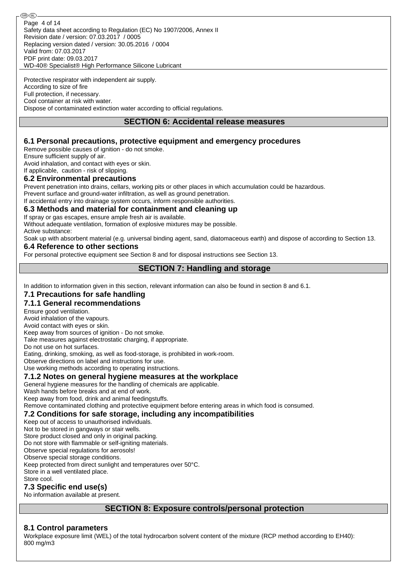Safety data sheet according to Regulation (EC) No 1907/2006, Annex II Revision date / version: 07.03.2017 / 0005 Replacing version dated / version: 30.05.2016 / 0004 Valid from: 07.03.2017 PDF print date: 09.03.2017 WD-40® Specialist® High Performance Silicone Lubricant Page 4 of 14

Protective respirator with independent air supply. According to size of fire Full protection, if necessary. Cool container at risk with water. Dispose of contaminated extinction water according to official regulations.

## **SECTION 6: Accidental release measures**

### **6.1 Personal precautions, protective equipment and emergency procedures**

Remove possible causes of ignition - do not smoke.

Ensure sufficient supply of air.

Avoid inhalation, and contact with eyes or skin.

#### If applicable, caution - risk of slipping. **6.2 Environmental precautions**

Prevent penetration into drains, cellars, working pits or other places in which accumulation could be hazardous.

Prevent surface and ground-water infiltration, as well as ground penetration.

If accidental entry into drainage system occurs, inform responsible authorities.

## **6.3 Methods and material for containment and cleaning up**

If spray or gas escapes, ensure ample fresh air is available.

Without adequate ventilation, formation of explosive mixtures may be possible. Active substance:

Soak up with absorbent material (e.g. universal binding agent, sand, diatomaceous earth) and dispose of according to Section 13.

## **6.4 Reference to other sections**

For personal protective equipment see Section 8 and for disposal instructions see Section 13.

## **SECTION 7: Handling and storage**

In addition to information given in this section, relevant information can also be found in section 8 and 6.1.

#### **7.1 Precautions for safe handling**

#### **7.1.1 General recommendations**

Ensure good ventilation.

Avoid inhalation of the vapours.

Avoid contact with eyes or skin.

Keep away from sources of ignition - Do not smoke. Take measures against electrostatic charging, if appropriate.

Do not use on hot surfaces.

Eating, drinking, smoking, as well as food-storage, is prohibited in work-room.

Observe directions on label and instructions for use.

Use working methods according to operating instructions.

#### **7.1.2 Notes on general hygiene measures at the workplace**

General hygiene measures for the handling of chemicals are applicable.

Wash hands before breaks and at end of work.

Keep away from food, drink and animal feedingstuffs.

Remove contaminated clothing and protective equipment before entering areas in which food is consumed.

## **7.2 Conditions for safe storage, including any incompatibilities**

Keep out of access to unauthorised individuals.

Not to be stored in gangways or stair wells.

Store product closed and only in original packing.

Do not store with flammable or self-igniting materials.

Observe special regulations for aerosols!

Observe special storage conditions.

Keep protected from direct sunlight and temperatures over 50°C.

Store in a well ventilated place.

Store cool.

## **7.3 Specific end use(s)**

No information available at present.

## **SECTION 8: Exposure controls/personal protection**

#### **8.1 Control parameters**

Workplace exposure limit (WEL) of the total hydrocarbon solvent content of the mixture (RCP method according to EH40): 800 mg/m3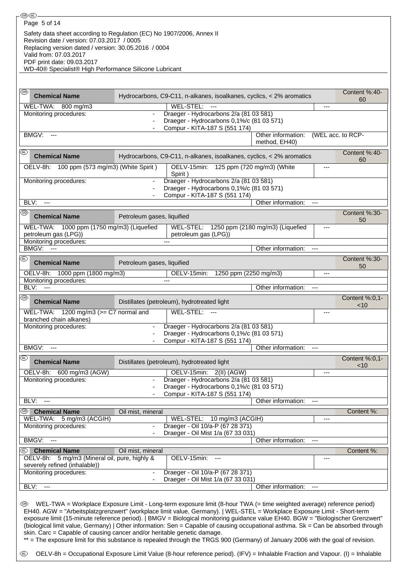| Page 5 of 14                                                                                                                                                                                                                                                                                                                                                                                                                                                                                                                                                                                                            |                            |                                                                                                                               |                    |                          |                     |
|-------------------------------------------------------------------------------------------------------------------------------------------------------------------------------------------------------------------------------------------------------------------------------------------------------------------------------------------------------------------------------------------------------------------------------------------------------------------------------------------------------------------------------------------------------------------------------------------------------------------------|----------------------------|-------------------------------------------------------------------------------------------------------------------------------|--------------------|--------------------------|---------------------|
| Safety data sheet according to Regulation (EC) No 1907/2006, Annex II                                                                                                                                                                                                                                                                                                                                                                                                                                                                                                                                                   |                            |                                                                                                                               |                    |                          |                     |
| Revision date / version: 07.03.2017 / 0005                                                                                                                                                                                                                                                                                                                                                                                                                                                                                                                                                                              |                            |                                                                                                                               |                    |                          |                     |
| Replacing version dated / version: 30.05.2016 / 0004<br>Valid from: 07.03.2017                                                                                                                                                                                                                                                                                                                                                                                                                                                                                                                                          |                            |                                                                                                                               |                    |                          |                     |
| PDF print date: 09.03.2017                                                                                                                                                                                                                                                                                                                                                                                                                                                                                                                                                                                              |                            |                                                                                                                               |                    |                          |                     |
| WD-40® Specialist® High Performance Silicone Lubricant                                                                                                                                                                                                                                                                                                                                                                                                                                                                                                                                                                  |                            |                                                                                                                               |                    |                          |                     |
|                                                                                                                                                                                                                                                                                                                                                                                                                                                                                                                                                                                                                         |                            |                                                                                                                               |                    |                          |                     |
| ⊛                                                                                                                                                                                                                                                                                                                                                                                                                                                                                                                                                                                                                       |                            |                                                                                                                               |                    |                          |                     |
| <b>Chemical Name</b>                                                                                                                                                                                                                                                                                                                                                                                                                                                                                                                                                                                                    |                            | Hydrocarbons, C9-C11, n-alkanes, isoalkanes, cyclics, < 2% aromatics                                                          |                    |                          | Content %:40-<br>60 |
| WEL-TWA: 800 mg/m3                                                                                                                                                                                                                                                                                                                                                                                                                                                                                                                                                                                                      |                            | WEL-STEL: ---                                                                                                                 |                    | ---                      |                     |
| Monitoring procedures:                                                                                                                                                                                                                                                                                                                                                                                                                                                                                                                                                                                                  |                            | Draeger - Hydrocarbons 2/a (81 03 581)                                                                                        |                    |                          |                     |
|                                                                                                                                                                                                                                                                                                                                                                                                                                                                                                                                                                                                                         |                            | Draeger - Hydrocarbons 0,1%/c (81 03 571)                                                                                     |                    |                          |                     |
| BMGV: ---                                                                                                                                                                                                                                                                                                                                                                                                                                                                                                                                                                                                               |                            | Compur - KITA-187 S (551 174)                                                                                                 | Other information: |                          | (WEL acc. to RCP-   |
|                                                                                                                                                                                                                                                                                                                                                                                                                                                                                                                                                                                                                         |                            |                                                                                                                               | method, EH40)      |                          |                     |
| ⑩<br><b>Chemical Name</b>                                                                                                                                                                                                                                                                                                                                                                                                                                                                                                                                                                                               |                            | Hydrocarbons, C9-C11, n-alkanes, isoalkanes, cyclics, < 2% aromatics                                                          |                    |                          | Content %:40-       |
| OELV-8h: 100 ppm (573 mg/m3) (White Spirit)                                                                                                                                                                                                                                                                                                                                                                                                                                                                                                                                                                             |                            | OELV-15min: 125 ppm (720 mg/m3) (White                                                                                        |                    | ---                      | 60                  |
|                                                                                                                                                                                                                                                                                                                                                                                                                                                                                                                                                                                                                         | $\blacksquare$             | Spirit)<br>Draeger - Hydrocarbons 2/a (81 03 581)                                                                             |                    |                          |                     |
| Monitoring procedures:                                                                                                                                                                                                                                                                                                                                                                                                                                                                                                                                                                                                  |                            | Draeger - Hydrocarbons 0,1%/c (81 03 571)                                                                                     |                    |                          |                     |
|                                                                                                                                                                                                                                                                                                                                                                                                                                                                                                                                                                                                                         |                            | Compur - KITA-187 S (551 174)                                                                                                 |                    |                          |                     |
| BLV:<br>$---$                                                                                                                                                                                                                                                                                                                                                                                                                                                                                                                                                                                                           |                            |                                                                                                                               | Other information: | $\hspace{0.05cm} \ldots$ |                     |
| @ි<br><b>Chemical Name</b>                                                                                                                                                                                                                                                                                                                                                                                                                                                                                                                                                                                              |                            |                                                                                                                               |                    |                          | Content %:30-       |
|                                                                                                                                                                                                                                                                                                                                                                                                                                                                                                                                                                                                                         | Petroleum gases, liquified |                                                                                                                               |                    |                          | 50                  |
| WEL-TWA: 1000 ppm (1750 mg/m3) (Liquefied<br>petroleum gas (LPG))                                                                                                                                                                                                                                                                                                                                                                                                                                                                                                                                                       |                            | WEL-STEL: 1250 ppm (2180 mg/m3) (Liquefied<br>petroleum gas (LPG))                                                            |                    | ---                      |                     |
| Monitoring procedures:                                                                                                                                                                                                                                                                                                                                                                                                                                                                                                                                                                                                  |                            |                                                                                                                               |                    |                          |                     |
| <b>BMGV: ---</b>                                                                                                                                                                                                                                                                                                                                                                                                                                                                                                                                                                                                        |                            |                                                                                                                               | Other information: | ---                      |                     |
| ®                                                                                                                                                                                                                                                                                                                                                                                                                                                                                                                                                                                                                       |                            |                                                                                                                               |                    |                          | Content %:30-       |
| <b>Chemical Name</b>                                                                                                                                                                                                                                                                                                                                                                                                                                                                                                                                                                                                    | Petroleum gases, liquified |                                                                                                                               |                    |                          | 50                  |
| OELV-8h: 1000 ppm (1800 mg/m3)                                                                                                                                                                                                                                                                                                                                                                                                                                                                                                                                                                                          |                            | 1250 ppm (2250 mg/m3)<br>OELV-15min:                                                                                          |                    | ---                      |                     |
| Monitoring procedures:<br>BLV:<br>$---$                                                                                                                                                                                                                                                                                                                                                                                                                                                                                                                                                                                 |                            |                                                                                                                               | Other information: | ---                      |                     |
| ⊛                                                                                                                                                                                                                                                                                                                                                                                                                                                                                                                                                                                                                       |                            |                                                                                                                               |                    |                          | Content %:0,1-      |
| <b>Chemical Name</b>                                                                                                                                                                                                                                                                                                                                                                                                                                                                                                                                                                                                    |                            | Distillates (petroleum), hydrotreated light                                                                                   |                    |                          | ~10                 |
| WEL-TWA: 1200 mg/m3 ( $>$ = C7 normal and                                                                                                                                                                                                                                                                                                                                                                                                                                                                                                                                                                               |                            | WEL-STEL:                                                                                                                     |                    | ---                      |                     |
| branched chain alkanes)                                                                                                                                                                                                                                                                                                                                                                                                                                                                                                                                                                                                 |                            | Draeger - Hydrocarbons 2/a (81 03 581)                                                                                        |                    |                          |                     |
| Monitoring procedures:                                                                                                                                                                                                                                                                                                                                                                                                                                                                                                                                                                                                  |                            | Draeger - Hydrocarbons 0,1%/c (81 03 571)                                                                                     |                    |                          |                     |
|                                                                                                                                                                                                                                                                                                                                                                                                                                                                                                                                                                                                                         |                            | Compur - KITA-187 S (551 174)                                                                                                 |                    |                          |                     |
| BMGV:<br>$\overline{a}$                                                                                                                                                                                                                                                                                                                                                                                                                                                                                                                                                                                                 |                            |                                                                                                                               | Other information: | ---                      |                     |
| ⅏<br><b>Chemical Name</b>                                                                                                                                                                                                                                                                                                                                                                                                                                                                                                                                                                                               |                            | Distillates (petroleum), hydrotreated light                                                                                   |                    |                          | Content %:0,1-      |
| OELV-8h:<br>600 mg/m3 (AGW)                                                                                                                                                                                                                                                                                                                                                                                                                                                                                                                                                                                             |                            | OELV-15min: 2(II) (AGW)                                                                                                       |                    | ---                      | $<$ 10              |
| Monitoring procedures:                                                                                                                                                                                                                                                                                                                                                                                                                                                                                                                                                                                                  | $\overline{\phantom{a}}$   | Draeger - Hydrocarbons 2/a (81 03 581)                                                                                        |                    |                          |                     |
|                                                                                                                                                                                                                                                                                                                                                                                                                                                                                                                                                                                                                         |                            | Draeger - Hydrocarbons 0,1%/c (81 03 571)                                                                                     |                    |                          |                     |
| BLV:<br>$\sim$ $\sim$                                                                                                                                                                                                                                                                                                                                                                                                                                                                                                                                                                                                   |                            | Compur - KITA-187 S (551 174)                                                                                                 | Other information: |                          |                     |
|                                                                                                                                                                                                                                                                                                                                                                                                                                                                                                                                                                                                                         |                            |                                                                                                                               |                    | ---                      |                     |
| ©Đ<br><b>Chemical Name</b><br>WEL-TWA: 5 mg/m3 (ACGIH)                                                                                                                                                                                                                                                                                                                                                                                                                                                                                                                                                                  | Oil mist, mineral          | WEL-STEL: 10 mg/m3 (ACGIH)                                                                                                    |                    | ---                      | Content %:          |
| Monitoring procedures:                                                                                                                                                                                                                                                                                                                                                                                                                                                                                                                                                                                                  |                            | Draeger - Oil 10/a-P (67 28 371)                                                                                              |                    |                          |                     |
|                                                                                                                                                                                                                                                                                                                                                                                                                                                                                                                                                                                                                         | ٠                          | Draeger - Oil Mist 1/a (67 33 031)                                                                                            |                    |                          |                     |
| BMGV:<br>$\overline{\phantom{a}}$                                                                                                                                                                                                                                                                                                                                                                                                                                                                                                                                                                                       |                            |                                                                                                                               | Other information: | ---                      |                     |
| <sup>®</sup> Chemical Name                                                                                                                                                                                                                                                                                                                                                                                                                                                                                                                                                                                              | Oil mist, mineral          |                                                                                                                               |                    |                          | Content %:          |
| OELV-8h: 5 mg/m3 (Mineral oil, pure, highly &<br>severely refined (inhalable))                                                                                                                                                                                                                                                                                                                                                                                                                                                                                                                                          |                            | OELV-15min:                                                                                                                   |                    | ---                      |                     |
| Monitoring procedures:                                                                                                                                                                                                                                                                                                                                                                                                                                                                                                                                                                                                  |                            | Draeger - Oil 10/a-P (67 28 371)                                                                                              |                    |                          |                     |
|                                                                                                                                                                                                                                                                                                                                                                                                                                                                                                                                                                                                                         |                            | Draeger - Oil Mist 1/a (67 33 031)                                                                                            |                    |                          |                     |
| BLV:<br>$\scriptstyle\cdots$                                                                                                                                                                                                                                                                                                                                                                                                                                                                                                                                                                                            |                            |                                                                                                                               | Other information: | $\scriptstyle\cdots$     |                     |
| (GB)<br>EH40. AGW = "Arbeitsplatzgrenzwert" (workplace limit value, Germany).   WEL-STEL = Workplace Exposure Limit - Short-term<br>exposure limit (15-minute reference period).   BMGV = Biological monitoring guidance value EH40. BGW = "Biologischer Grenzwert"<br>(biological limit value, Germany)   Other information: Sen = Capable of causing occupational asthma. Sk = Can be absorbed through<br>skin. Carc = Capable of causing cancer and/or heritable genetic damage.<br>** = The exposure limit for this substance is repealed through the TRGS 900 (Germany) of January 2006 with the goal of revision. |                            | WEL-TWA = Workplace Exposure Limit - Long-term exposure limit (8-hour TWA (= time weighted average) reference period)         |                    |                          |                     |
| (EL)                                                                                                                                                                                                                                                                                                                                                                                                                                                                                                                                                                                                                    |                            | OELV-8h = Occupational Exposure Limit Value (8-hour reference period). (IFV) = Inhalable Fraction and Vapour. (I) = Inhalable |                    |                          |                     |

-®®-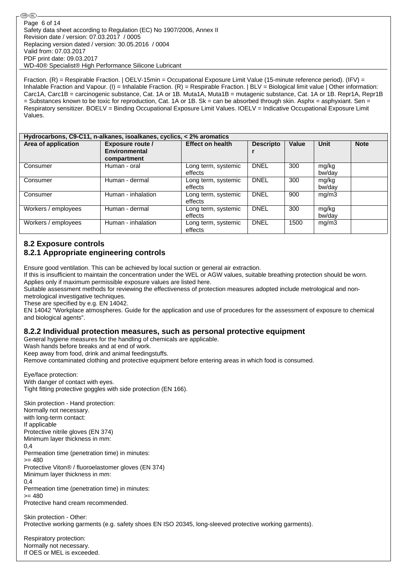Fraction. (R) = Respirable Fraction. | OELV-15min = Occupational Exposure Limit Value (15-minute reference period). (IFV) = Inhalable Fraction and Vapour. (I) = Inhalable Fraction. (R) = Respirable Fraction. | BLV = Biological limit value | Other information: Carc1A, Carc1B = carcinogenic substance, Cat. 1A or 1B. Muta1A, Muta1B = mutagenic substance, Cat. 1A or 1B. Repr1A, Repr1B = Substances known to be toxic for reproduction, Cat. 1A or 1B. Sk = can be absorbed through skin. Asphx = asphyxiant. Sen = Respiratory sensitizer. BOELV = Binding Occupational Exposure Limit Values. IOELV = Indicative Occupational Exposure Limit Values.

|                     | Hydrocarbons, C9-C11, n-alkanes, isoalkanes, cyclics, < 2% aromatics |                                |                  |       |                 |             |
|---------------------|----------------------------------------------------------------------|--------------------------------|------------------|-------|-----------------|-------------|
| Area of application | Exposure route /<br>Environmental<br>compartment                     | <b>Effect on health</b>        | <b>Descripto</b> | Value | <b>Unit</b>     | <b>Note</b> |
| Consumer            | Human - oral                                                         | Long term, systemic<br>effects | <b>DNEL</b>      | 300   | mg/kg<br>bw/day |             |
| Consumer            | Human - dermal                                                       | Long term, systemic<br>effects | <b>DNEL</b>      | 300   | mg/kg<br>bw/dav |             |
| Consumer            | Human - inhalation                                                   | Long term, systemic<br>effects | <b>DNEL</b>      | 900   | mg/m3           |             |
| Workers / employees | Human - dermal                                                       | Long term, systemic<br>effects | <b>DNEL</b>      | 300   | mg/kg<br>bw/day |             |
| Workers / employees | Human - inhalation                                                   | Long term, systemic<br>effects | <b>DNEL</b>      | 1500  | mg/m3           |             |

## **8.2 Exposure controls**

## **8.2.1 Appropriate engineering controls**

Ensure good ventilation. This can be achieved by local suction or general air extraction.

If this is insufficient to maintain the concentration under the WEL or AGW values, suitable breathing protection should be worn. Applies only if maximum permissible exposure values are listed here.

Suitable assessment methods for reviewing the effectiveness of protection measures adopted include metrological and nonmetrological investigative techniques.

These are specified by e.g. EN 14042.

EN 14042 "Workplace atmospheres. Guide for the application and use of procedures for the assessment of exposure to chemical and biological agents".

## **8.2.2 Individual protection measures, such as personal protective equipment**

General hygiene measures for the handling of chemicals are applicable.

Wash hands before breaks and at end of work.

Keep away from food, drink and animal feedingstuffs.

Remove contaminated clothing and protective equipment before entering areas in which food is consumed.

#### Eye/face protection:

With danger of contact with eyes. Tight fitting protective goggles with side protection (EN 166).

Skin protection - Hand protection: Normally not necessary. with long-term contact: If applicable Protective nitrile gloves (EN 374) Minimum layer thickness in mm:  $0,4$ Permeation time (penetration time) in minutes:  $>= 480$ Protective Viton® / fluoroelastomer gloves (EN 374) Minimum layer thickness in mm:  $0.4$ Permeation time (penetration time) in minutes:  $= 480$ Protective hand cream recommended.

Skin protection - Other: Protective working garments (e.g. safety shoes EN ISO 20345, long-sleeved protective working garments).

Respiratory protection: Normally not necessary. If OES or MEL is exceeded.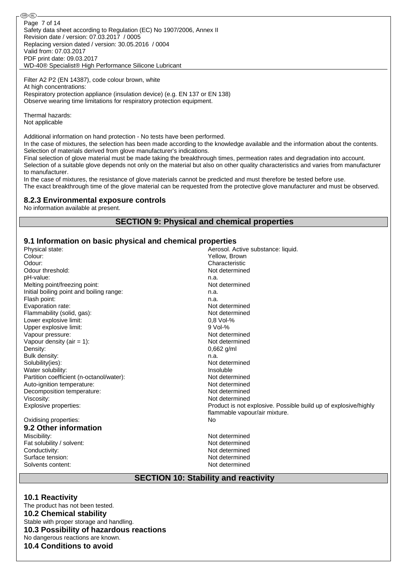⊛® Page 7 of 14Safety data sheet according to Regulation (EC) No 1907/2006, Annex II Revision date / version: 07.03.2017 / 0005 Replacing version dated / version: 30.05.2016 / 0004 Valid from: 07.03.2017 PDF print date: 09.03.2017 WD-40® Specialist® High Performance Silicone Lubricant

Filter A2 P2 (EN 14387), code colour brown, white At high concentrations: Respiratory protection appliance (insulation device) (e.g. EN 137 or EN 138) Observe wearing time limitations for respiratory protection equipment.

Thermal hazards: Not applicable

Additional information on hand protection - No tests have been performed.

In the case of mixtures, the selection has been made according to the knowledge available and the information about the contents. Selection of materials derived from glove manufacturer's indications.

Final selection of glove material must be made taking the breakthrough times, permeation rates and degradation into account. Selection of a suitable glove depends not only on the material but also on other quality characteristics and varies from manufacturer to manufacturer.

In the case of mixtures, the resistance of glove materials cannot be predicted and must therefore be tested before use. The exact breakthrough time of the glove material can be requested from the protective glove manufacturer and must be observed.

## **8.2.3 Environmental exposure controls**

No information available at present.

## **SECTION 9: Physical and chemical properties**

#### **9.1 Information on basic physical and chemical properties**

| Physical state:                          | Aerosol. Active substance: liquid.                              |
|------------------------------------------|-----------------------------------------------------------------|
| Colour:                                  | Yellow, Brown                                                   |
| Odour:                                   | Characteristic                                                  |
| Odour threshold:                         | Not determined                                                  |
| pH-value:                                | n.a.                                                            |
| Melting point/freezing point:            | Not determined                                                  |
| Initial boiling point and boiling range: | n.a.                                                            |
| Flash point:                             | n.a.                                                            |
| Evaporation rate:                        | Not determined                                                  |
| Flammability (solid, gas):               | Not determined                                                  |
| Lower explosive limit:                   | $0.8$ Vol-%                                                     |
| Upper explosive limit:                   | $9$ Vol-%                                                       |
| Vapour pressure:                         | Not determined                                                  |
| Vapour density (air $= 1$ ):             | Not determined                                                  |
| Density:                                 | 0,662 g/ml                                                      |
| Bulk density:                            | n.a.                                                            |
| Solubility(ies):                         | Not determined                                                  |
| Water solubility:                        | Insoluble                                                       |
| Partition coefficient (n-octanol/water): | Not determined                                                  |
| Auto-ignition temperature:               | Not determined                                                  |
| Decomposition temperature:               | Not determined                                                  |
| Viscosity:                               | Not determined                                                  |
| Explosive properties:                    | Product is not explosive. Possible build up of explosive/highly |
|                                          | flammable vapour/air mixture.                                   |
| Oxidising properties:                    | No                                                              |
| 9.2 Other information                    |                                                                 |
| Miscibility:                             | Not determined                                                  |
| Fat solubility / solvent:                | Not determined                                                  |
| Conductivity:                            | Not determined                                                  |
| Surface tension:                         | Not determined                                                  |
| Solvents content:                        | Not determined                                                  |
|                                          |                                                                 |

## **SECTION 10: Stability and reactivity**

#### **10.1 Reactivity**

The product has not been tested. **10.2 Chemical stability** Stable with proper storage and handling. **10.3 Possibility of hazardous reactions** No dangerous reactions are known. **10.4 Conditions to avoid**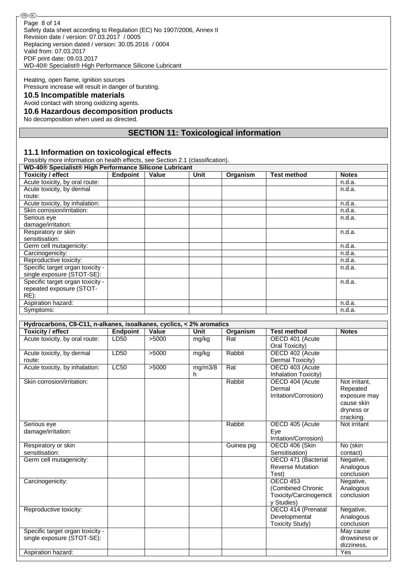Safety data sheet according to Regulation (EC) No 1907/2006, Annex II Revision date / version: 07.03.2017 / 0005 Replacing version dated / version: 30.05.2016 / 0004 Valid from: 07.03.2017 PDF print date: 09.03.2017 WD-40® Specialist® High Performance Silicone Lubricant Page 8 of 14

Heating, open flame, ignition sources Pressure increase will result in danger of bursting.

## **10.5 Incompatible materials**

Avoid contact with strong oxidizing agents.

## **10.6 Hazardous decomposition products**

No decomposition when used as directed.

## **SECTION 11: Toxicological information**

#### **11.1 Information on toxicological effects**

Possibly more information on health effects, see Section 2.1 (classification).

| WD-40® Specialist® High Performance Silicone Lubricant |                 |       |      |          |                    |              |
|--------------------------------------------------------|-----------------|-------|------|----------|--------------------|--------------|
| <b>Toxicity / effect</b>                               | <b>Endpoint</b> | Value | Unit | Organism | <b>Test method</b> | <b>Notes</b> |
| Acute toxicity, by oral route:                         |                 |       |      |          |                    | n.d.a.       |
| Acute toxicity, by dermal                              |                 |       |      |          |                    | n.d.a.       |
| route:                                                 |                 |       |      |          |                    |              |
| Acute toxicity, by inhalation:                         |                 |       |      |          |                    | n.d.a.       |
| Skin corrosion/irritation:                             |                 |       |      |          |                    | n.d.a.       |
| Serious eye                                            |                 |       |      |          |                    | n.d.a.       |
| damage/irritation:                                     |                 |       |      |          |                    |              |
| Respiratory or skin                                    |                 |       |      |          |                    | n.d.a.       |
| sensitisation:                                         |                 |       |      |          |                    |              |
| Germ cell mutagenicity:                                |                 |       |      |          |                    | n.d.a.       |
| Carcinogenicity:                                       |                 |       |      |          |                    | n.d.a.       |
| Reproductive toxicity:                                 |                 |       |      |          |                    | n.d.a.       |
| Specific target organ toxicity -                       |                 |       |      |          |                    | n.d.a.       |
| single exposure (STOT-SE):                             |                 |       |      |          |                    |              |
| Specific target organ toxicity -                       |                 |       |      |          |                    | n.d.a.       |
| repeated exposure (STOT-                               |                 |       |      |          |                    |              |
| $RE)$ :                                                |                 |       |      |          |                    |              |
| Aspiration hazard:                                     |                 |       |      |          |                    | n.d.a.       |
| Symptoms:                                              |                 |       |      |          |                    | n.d.a.       |

| Hydrocarbons, C9-C11, n-alkanes, isoalkanes, cyclics, < 2% aromatics |             |       |         |            |                         |               |
|----------------------------------------------------------------------|-------------|-------|---------|------------|-------------------------|---------------|
| <b>Toxicity / effect</b>                                             | Endpoint    | Value | Unit    | Organism   | <b>Test method</b>      | <b>Notes</b>  |
| Acute toxicity, by oral route:                                       | LD50        | >5000 | mg/kg   | Rat        | OECD 401 (Acute         |               |
|                                                                      |             |       |         |            | Oral Toxicity)          |               |
| Acute toxicity, by dermal                                            | LD50        | >5000 | mg/kg   | Rabbit     | OECD 402 (Acute         |               |
| route:                                                               |             |       |         |            | Dermal Toxicity)        |               |
| Acute toxicity, by inhalation:                                       | <b>LC50</b> | >5000 | mg/m3/8 | Rat        | OECD 403 (Acute         |               |
|                                                                      |             |       | h.      |            | Inhalation Toxicity)    |               |
| Skin corrosion/irritation:                                           |             |       |         | Rabbit     | OECD 404 (Acute         | Not irritant. |
|                                                                      |             |       |         |            | Dermal                  | Repeated      |
|                                                                      |             |       |         |            | Irritation/Corrosion)   | exposure may  |
|                                                                      |             |       |         |            |                         | cause skin    |
|                                                                      |             |       |         |            |                         | dryness or    |
|                                                                      |             |       |         |            |                         | cracking.     |
| Serious eye                                                          |             |       |         | Rabbit     | OECD 405 (Acute         | Not irritant  |
| damage/irritation:                                                   |             |       |         |            | Eve                     |               |
|                                                                      |             |       |         |            | Irritation/Corrosion)   |               |
| Respiratory or skin                                                  |             |       |         | Guinea pig | OECD 406 (Skin          | No (skin      |
| sensitisation:                                                       |             |       |         |            | Sensitisation)          | contact)      |
| Germ cell mutagenicity:                                              |             |       |         |            | OECD 471 (Bacterial     | Negative,     |
|                                                                      |             |       |         |            | <b>Reverse Mutation</b> | Analogous     |
|                                                                      |             |       |         |            | Test)                   | conclusion    |
| Carcinogenicity:                                                     |             |       |         |            | OECD <sub>453</sub>     | Negative,     |
|                                                                      |             |       |         |            | (Combined Chronic       | Analogous     |
|                                                                      |             |       |         |            | Toxicity/Carcinogenicit | conclusion    |
|                                                                      |             |       |         |            | y Studies)              |               |
| Reproductive toxicity:                                               |             |       |         |            | OECD 414 (Prenatal      | Negative,     |
|                                                                      |             |       |         |            | Developmental           | Analogous     |
|                                                                      |             |       |         |            | <b>Toxicity Study)</b>  | conclusion    |
| Specific target organ toxicity -                                     |             |       |         |            |                         | May cause     |
| single exposure (STOT-SE):                                           |             |       |         |            |                         | drowsiness or |
|                                                                      |             |       |         |            |                         | dizziness.    |
| Aspiration hazard:                                                   |             |       |         |            |                         | Yes           |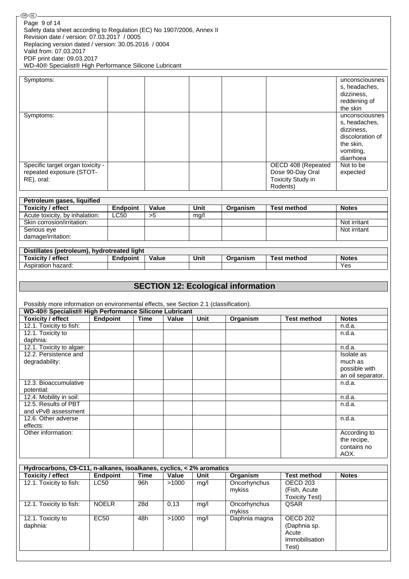| Page 9 of 14                                                                          |              |                 |            |       |             |                                           |                          |                             |
|---------------------------------------------------------------------------------------|--------------|-----------------|------------|-------|-------------|-------------------------------------------|--------------------------|-----------------------------|
|                                                                                       |              |                 |            |       |             |                                           |                          |                             |
| Safety data sheet according to Regulation (EC) No 1907/2006, Annex II                 |              |                 |            |       |             |                                           |                          |                             |
| Revision date / version: 07.03.2017 / 0005                                            |              |                 |            |       |             |                                           |                          |                             |
| Replacing version dated / version: 30.05.2016 / 0004                                  |              |                 |            |       |             |                                           |                          |                             |
| Valid from: 07.03.2017                                                                |              |                 |            |       |             |                                           |                          |                             |
| PDF print date: 09.03.2017                                                            |              |                 |            |       |             |                                           |                          |                             |
| WD-40® Specialist® High Performance Silicone Lubricant                                |              |                 |            |       |             |                                           |                          |                             |
| Symptoms:                                                                             |              |                 |            |       |             |                                           |                          | unconsciousnes              |
|                                                                                       |              |                 |            |       |             |                                           |                          | s, headaches,               |
|                                                                                       |              |                 |            |       |             |                                           |                          | dizziness,                  |
|                                                                                       |              |                 |            |       |             |                                           |                          | reddening of                |
|                                                                                       |              |                 |            |       |             |                                           |                          | the skin                    |
| Symptoms:                                                                             |              |                 |            |       |             |                                           |                          | unconsciousnes              |
|                                                                                       |              |                 |            |       |             |                                           |                          | s, headaches,               |
|                                                                                       |              |                 |            |       |             |                                           |                          | dizziness,                  |
|                                                                                       |              |                 |            |       |             |                                           |                          | discoloration of            |
|                                                                                       |              |                 |            |       |             |                                           |                          | the skin,                   |
|                                                                                       |              |                 |            |       |             |                                           |                          | vomiting,                   |
|                                                                                       |              |                 |            |       |             |                                           |                          | diarrhoea                   |
| Specific target organ toxicity -                                                      |              |                 |            |       |             |                                           | OECD 408 (Repeated       | Not to be                   |
| repeated exposure (STOT-                                                              |              |                 |            |       |             |                                           | Dose 90-Day Oral         | expected                    |
| RE), oral:                                                                            |              |                 |            |       |             |                                           | <b>Toxicity Study in</b> |                             |
|                                                                                       |              |                 |            |       |             |                                           | Rodents)                 |                             |
|                                                                                       |              |                 |            |       |             |                                           |                          |                             |
| Petroleum gases, liquified<br><b>Toxicity / effect</b>                                |              | <b>Endpoint</b> | Value      |       | <b>Unit</b> | Organism                                  | <b>Test method</b>       | <b>Notes</b>                |
| Acute toxicity, by inhalation:                                                        |              | <b>LC50</b>     | >5         |       | mg/l        |                                           |                          |                             |
| Skin corrosion/irritation:                                                            |              |                 |            |       |             |                                           |                          | Not irritant                |
| Serious eye                                                                           |              |                 |            |       |             |                                           |                          | Not irritant                |
| damage/irritation:                                                                    |              |                 |            |       |             |                                           |                          |                             |
|                                                                                       |              |                 |            |       |             |                                           |                          |                             |
| Distillates (petroleum), hydrotreated light                                           |              |                 |            |       |             |                                           |                          |                             |
| <b>Toxicity / effect</b>                                                              |              |                 |            |       |             |                                           | <b>Test method</b>       |                             |
|                                                                                       |              | <b>Endpoint</b> | Value      |       | Unit        | Organism                                  |                          | <b>Notes</b>                |
| Aspiration hazard:                                                                    |              |                 |            |       |             |                                           |                          | Yes                         |
|                                                                                       |              |                 |            |       |             |                                           |                          |                             |
|                                                                                       |              |                 |            |       |             |                                           |                          |                             |
|                                                                                       |              |                 |            |       |             | <b>SECTION 12: Ecological information</b> |                          |                             |
|                                                                                       |              |                 |            |       |             |                                           |                          |                             |
| Possibly more information on environmental effects, see Section 2.1 (classification). |              |                 |            |       |             |                                           |                          |                             |
| WD-40 <sup>®</sup> Specialist <sup>®</sup> High Performance Silicone Lubricant        |              |                 |            |       |             |                                           |                          |                             |
| Toxicity / effect   Endpoint   Time   Value                                           |              |                 |            |       | Unit        | Organism                                  | <b>Test method</b>       | <b>Notes</b>                |
| 12.1. Toxicity to fish:                                                               |              |                 |            |       |             |                                           |                          | n.d.a.                      |
| 12.1. Toxicity to                                                                     |              |                 |            |       |             |                                           |                          | n.d.a.                      |
| daphnia:                                                                              |              |                 |            |       |             |                                           |                          |                             |
| 12.1. Toxicity to algae:                                                              |              |                 |            |       |             |                                           |                          | n.d.a.                      |
| 12.2. Persistence and                                                                 |              |                 |            |       |             |                                           |                          | Isolate as                  |
| degradability:                                                                        |              |                 |            |       |             |                                           |                          | much as                     |
|                                                                                       |              |                 |            |       |             |                                           |                          | possible with               |
|                                                                                       |              |                 |            |       |             |                                           |                          | an oil separator.<br>n.d.a. |
| 12.3. Bioaccumulative<br>potential:                                                   |              |                 |            |       |             |                                           |                          |                             |
| 12.4. Mobility in soil:                                                               |              |                 |            |       |             |                                           |                          | n.d.a.                      |
| 12.5. Results of PBT                                                                  |              |                 |            |       |             |                                           |                          | n.d.a.                      |
| and vPvB assessment                                                                   |              |                 |            |       |             |                                           |                          |                             |
| 12.6. Other adverse                                                                   |              |                 |            |       |             |                                           |                          | n.d.a.                      |
| effects:                                                                              |              |                 |            |       |             |                                           |                          |                             |
| Other information:                                                                    |              |                 |            |       |             |                                           |                          | According to                |
|                                                                                       |              |                 |            |       |             |                                           |                          | the recipe,                 |
|                                                                                       |              |                 |            |       |             |                                           |                          | contains no                 |
|                                                                                       |              |                 |            |       |             |                                           |                          | AOX.                        |
|                                                                                       |              |                 |            |       |             |                                           |                          |                             |
| Hydrocarbons, C9-C11, n-alkanes, isoalkanes, cyclics, < 2% aromatics                  |              |                 |            |       |             |                                           |                          |                             |
| <b>Toxicity / effect</b>                                                              | Endpoint     |                 | Time       | Value | Unit        | Organism                                  | <b>Test method</b>       | <b>Notes</b>                |
| 12.1. Toxicity to fish:                                                               | LC50         |                 | 96h        | >1000 | mg/l        | Oncorhynchus                              | <b>OECD 203</b>          |                             |
|                                                                                       |              |                 |            |       |             | mykiss                                    | (Fish, Acute             |                             |
|                                                                                       |              |                 |            |       |             |                                           | <b>Toxicity Test)</b>    |                             |
| 12.1. Toxicity to fish:                                                               | <b>NOELR</b> |                 | <b>28d</b> | 0,13  | mg/l        | Oncorhynchus                              | QSAR                     |                             |
|                                                                                       |              |                 |            |       |             | mykiss                                    |                          |                             |
| 12.1. Toxicity to                                                                     | <b>EC50</b>  |                 | 48h        | >1000 | mg/l        | Daphnia magna                             | <b>OECD 202</b>          |                             |
| daphnia:                                                                              |              |                 |            |       |             |                                           | (Daphnia sp.             |                             |
|                                                                                       |              |                 |            |       |             |                                           | Acute<br>Immobilisation  |                             |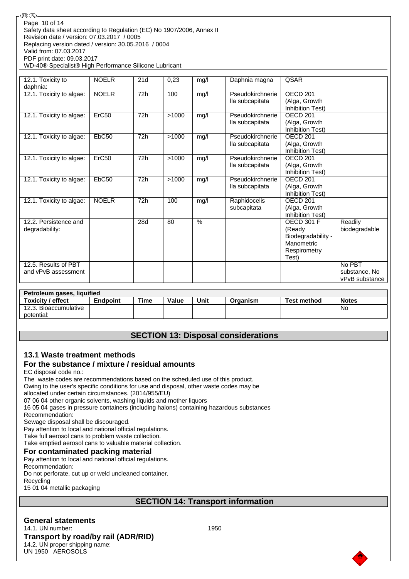| 12.1. Toxicity to<br>daphnia:               | <b>NOELR</b> | 21d | 0.23  | mg/l          | Daphnia magna                       | QSAR                                                                                     |                                           |
|---------------------------------------------|--------------|-----|-------|---------------|-------------------------------------|------------------------------------------------------------------------------------------|-------------------------------------------|
| 12.1. Toxicity to algae:                    | <b>NOELR</b> | 72h | 100   | mg/l          | Pseudokirchnerie<br>lla subcapitata | OECD <sub>201</sub><br>(Alga, Growth<br>Inhibition Test)                                 |                                           |
| 12.1. Toxicity to algae:                    | ErC50        | 72h | >1000 | mg/l          | Pseudokirchnerie<br>lla subcapitata | OECD <sub>201</sub><br>(Alga, Growth<br>Inhibition Test)                                 |                                           |
| 12.1. Toxicity to algae:                    | EbC50        | 72h | >1000 | mg/l          | Pseudokirchnerie<br>lla subcapitata | OECD <sub>201</sub><br>(Alga, Growth<br>Inhibition Test)                                 |                                           |
| 12.1. Toxicity to algae:                    | Erc50        | 72h | >1000 | mg/l          | Pseudokirchnerie<br>lla subcapitata | OECD <sub>201</sub><br>(Alga, Growth<br>Inhibition Test)                                 |                                           |
| 12.1. Toxicity to algae:                    | EbC50        | 72h | >1000 | mg/l          | Pseudokirchnerie<br>lla subcapitata | OECD <sub>201</sub><br>(Alga, Growth<br>Inhibition Test)                                 |                                           |
| 12.1. Toxicity to algae:                    | <b>NOELR</b> | 72h | 100   | mg/l          | Raphidocelis<br>subcapitata         | OECD <sub>201</sub><br>(Alga, Growth<br>Inhibition Test)                                 |                                           |
| 12.2. Persistence and<br>degradability:     |              | 28d | 80    | $\frac{0}{0}$ |                                     | <b>OECD 301 F</b><br>(Ready<br>Biodegradability -<br>Manometric<br>Respirometry<br>Test) | Readily<br>biodegradable                  |
| 12.5. Results of PBT<br>and vPvB assessment |              |     |       |               |                                     |                                                                                          | No PBT<br>substance, No<br>vPvB substance |

| Petroleum gases, liquified |                 |      |              |      |          |             |              |
|----------------------------|-----------------|------|--------------|------|----------|-------------|--------------|
| <b>Toxicity / effect</b>   | <b>Endpoint</b> | Time | <b>Value</b> | Unit | Organism | Test method | <b>Notes</b> |
| 12.3. Bioaccumulative      |                 |      |              |      |          |             | No           |
| potential:                 |                 |      |              |      |          |             |              |

## **SECTION 13: Disposal considerations**

#### **13.1 Waste treatment methods For the substance / mixture / residual amounts**

EC disposal code no.:

The waste codes are recommendations based on the scheduled use of this product.

Owing to the user's specific conditions for use and disposal, other waste codes may be

allocated under certain circumstances. (2014/955/EU)

07 06 04 other organic solvents, washing liquids and mother liquors

16 05 04 gases in pressure containers (including halons) containing hazardous substances

Recommendation:

Sewage disposal shall be discouraged.

Pay attention to local and national official regulations.

Take full aerosol cans to problem waste collection.

Take emptied aerosol cans to valuable material collection.

#### **For contaminated packing material**

Pay attention to local and national official regulations.

Recommendation:

Do not perforate, cut up or weld uncleaned container.

Recycling

15 01 04 metallic packaging

## **SECTION 14: Transport information**

**General statements** 14.1. UN number: 1950 **Transport by road/by rail (ADR/RID)** 14.2. UN proper shipping name: UN 1950 AEROSOLS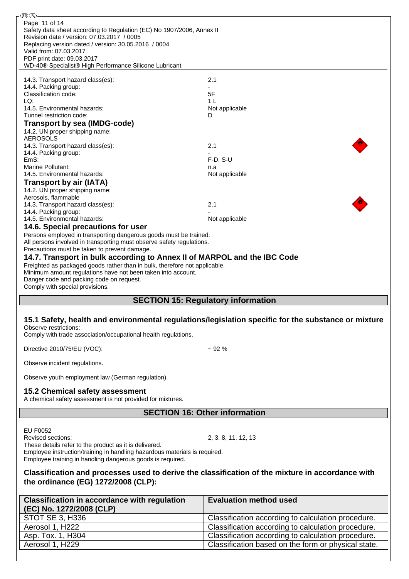| ை<br>லை                                                                                                                                    |                                                                                                           |
|--------------------------------------------------------------------------------------------------------------------------------------------|-----------------------------------------------------------------------------------------------------------|
| Page 11 of 14                                                                                                                              |                                                                                                           |
| Safety data sheet according to Regulation (EC) No 1907/2006, Annex II                                                                      |                                                                                                           |
| Revision date / version: 07.03.2017 / 0005                                                                                                 |                                                                                                           |
| Replacing version dated / version: 30.05.2016 / 0004<br>Valid from: 07.03.2017                                                             |                                                                                                           |
| PDF print date: 09.03.2017                                                                                                                 |                                                                                                           |
| WD-40® Specialist® High Performance Silicone Lubricant                                                                                     |                                                                                                           |
|                                                                                                                                            |                                                                                                           |
| 14.3. Transport hazard class(es):                                                                                                          | 2.1                                                                                                       |
| 14.4. Packing group:                                                                                                                       |                                                                                                           |
| Classification code:<br>LQ:                                                                                                                | 5F<br>1 <sub>L</sub>                                                                                      |
| 14.5. Environmental hazards:                                                                                                               | Not applicable                                                                                            |
| Tunnel restriction code:                                                                                                                   | D                                                                                                         |
| Transport by sea (IMDG-code)                                                                                                               |                                                                                                           |
| 14.2. UN proper shipping name:                                                                                                             |                                                                                                           |
| <b>AEROSOLS</b>                                                                                                                            |                                                                                                           |
| 14.3. Transport hazard class(es):                                                                                                          | 2.1                                                                                                       |
| 14.4. Packing group:                                                                                                                       |                                                                                                           |
| EmS:<br>Marine Pollutant:                                                                                                                  | $F-D$ , S-U<br>n.a                                                                                        |
| 14.5. Environmental hazards:                                                                                                               | Not applicable                                                                                            |
| <b>Transport by air (IATA)</b>                                                                                                             |                                                                                                           |
| 14.2. UN proper shipping name:                                                                                                             |                                                                                                           |
| Aerosols, flammable                                                                                                                        |                                                                                                           |
| 14.3. Transport hazard class(es):                                                                                                          | 2.1                                                                                                       |
| 14.4. Packing group:                                                                                                                       |                                                                                                           |
| 14.5. Environmental hazards:                                                                                                               | Not applicable                                                                                            |
| 14.6. Special precautions for user                                                                                                         |                                                                                                           |
| Persons employed in transporting dangerous goods must be trained.<br>All persons involved in transporting must observe safety regulations. |                                                                                                           |
| Precautions must be taken to prevent damage.                                                                                               |                                                                                                           |
| 14.7. Transport in bulk according to Annex II of MARPOL and the IBC Code                                                                   |                                                                                                           |
| Freighted as packaged goods rather than in bulk, therefore not applicable.                                                                 |                                                                                                           |
| Minimum amount regulations have not been taken into account.                                                                               |                                                                                                           |
|                                                                                                                                            |                                                                                                           |
| Danger code and packing code on request.                                                                                                   |                                                                                                           |
| Comply with special provisions.                                                                                                            |                                                                                                           |
|                                                                                                                                            |                                                                                                           |
|                                                                                                                                            | <b>SECTION 15: Regulatory information</b>                                                                 |
|                                                                                                                                            |                                                                                                           |
|                                                                                                                                            | 15.1 Safety, health and environmental regulations/legislation specific for the substance or mixture       |
| Observe restrictions:<br>Comply with trade association/occupational health regulations.                                                    |                                                                                                           |
|                                                                                                                                            |                                                                                                           |
| Directive 2010/75/EU (VOC):                                                                                                                | $~1$ 92 %                                                                                                 |
|                                                                                                                                            |                                                                                                           |
| Observe incident regulations.                                                                                                              |                                                                                                           |
|                                                                                                                                            |                                                                                                           |
| Observe youth employment law (German regulation).                                                                                          |                                                                                                           |
| 15.2 Chemical safety assessment                                                                                                            |                                                                                                           |
| A chemical safety assessment is not provided for mixtures.                                                                                 |                                                                                                           |
|                                                                                                                                            |                                                                                                           |
|                                                                                                                                            | <b>SECTION 16: Other information</b>                                                                      |
|                                                                                                                                            |                                                                                                           |
| EU F0052<br>Revised sections:                                                                                                              |                                                                                                           |
| These details refer to the product as it is delivered.                                                                                     | 2, 3, 8, 11, 12, 13                                                                                       |
| Employee instruction/training in handling hazardous materials is required.                                                                 |                                                                                                           |
| Employee training in handling dangerous goods is required.                                                                                 |                                                                                                           |
|                                                                                                                                            |                                                                                                           |
|                                                                                                                                            | Classification and processes used to derive the classification of the mixture in accordance with          |
| the ordinance (EG) 1272/2008 (CLP):                                                                                                        |                                                                                                           |
|                                                                                                                                            |                                                                                                           |
| <b>Classification in accordance with regulation</b>                                                                                        | <b>Evaluation method used</b>                                                                             |
| (EC) No. 1272/2008 (CLP)                                                                                                                   |                                                                                                           |
| <b>STOT SE 3, H336</b>                                                                                                                     | Classification according to calculation procedure.                                                        |
| Aerosol 1, H222                                                                                                                            | Classification according to calculation procedure.                                                        |
| Asp. Tox. 1, H304<br>Aerosol 1, H229                                                                                                       | Classification according to calculation procedure.<br>Classification based on the form or physical state. |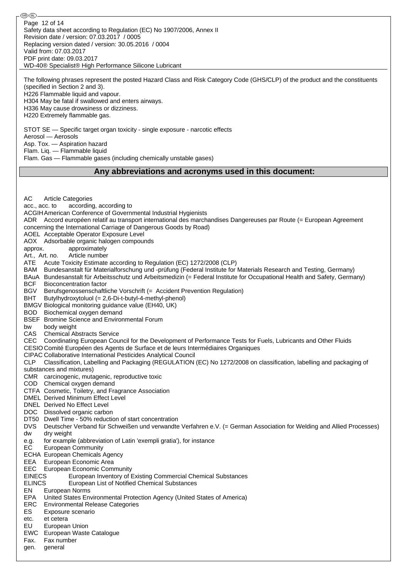Safety data sheet according to Regulation (EC) No 1907/2006, Annex II Revision date / version: 07.03.2017 / 0005 Replacing version dated / version: 30.05.2016 / 0004 Valid from: 07.03.2017 PDF print date: 09.03.2017 WD-40® Specialist® High Performance Silicone Lubricant Page 12 of 14

®0බ

The following phrases represent the posted Hazard Class and Risk Category Code (GHS/CLP) of the product and the constituents (specified in Section 2 and 3). H226 Flammable liquid and vapour. H304 May be fatal if swallowed and enters airways. H336 May cause drowsiness or dizziness. H220 Extremely flammable gas.

STOT SE — Specific target organ toxicity - single exposure - narcotic effects Aerosol — Aerosols Asp. Tox. — Aspiration hazard Flam. Liq. — Flammable liquid Flam. Gas — Flammable gases (including chemically unstable gases)

#### **Any abbreviations and acronyms used in this document:**

AC Article Categories acc., acc. to according, according to ACGIHAmerican Conference of Governmental Industrial Hygienists ADR Accord européen relatif au transport international des marchandises Dangereuses par Route (= European Agreement concerning the International Carriage of Dangerous Goods by Road) AOEL Acceptable Operator Exposure Level AOX Adsorbable organic halogen compounds approx. approximately Art., Art. no. Article number ATE Acute Toxicity Estimate according to Regulation (EC) 1272/2008 (CLP) BAM Bundesanstalt für Materialforschung und -prüfung (Federal Institute for Materials Research and Testing, Germany) BAuA Bundesanstalt für Arbeitsschutz und Arbeitsmedizin (= Federal Institute for Occupational Health and Safety, Germany) BCF Bioconcentration factor BGV Berufsgenossenschaftliche Vorschrift (= Accident Prevention Regulation) BHT Butylhydroxytoluol (= 2,6-Di-t-butyl-4-methyl-phenol) BMGV Biological monitoring guidance value (EH40, UK) BOD Biochemical oxygen demand BSEF Bromine Science and Environmental Forum bw body weight CAS Chemical Abstracts Service CEC Coordinating European Council for the Development of Performance Tests for Fuels, Lubricants and Other Fluids CESIO Comité Européen des Agents de Surface et de leurs Intermédiaires Organiques CIPAC Collaborative International Pesticides Analytical Council CLP Classification, Labelling and Packaging (REGULATION (EC) No 1272/2008 on classification, labelling and packaging of substances and mixtures) CMR carcinogenic, mutagenic, reproductive toxic COD Chemical oxygen demand CTFA Cosmetic, Toiletry, and Fragrance Association DMEL Derived Minimum Effect Level DNEL Derived No Effect Level DOC Dissolved organic carbon DT50 Dwell Time - 50% reduction of start concentration DVS Deutscher Verband für Schweißen und verwandte Verfahren e.V. (= German Association for Welding and Allied Processes) dw dry weight e.g. for example (abbreviation of Latin 'exempli gratia'), for instance EC European Community ECHA European Chemicals Agency EEA European Economic Area EEC European Economic Community EINECS European Inventory of Existing Commercial Chemical Substances ELINCS European List of Notified Chemical Substances EN European Norms EPA United States Environmental Protection Agency (United States of America) ERC Environmental Release Categories ES Exposure scenario etc. et cetera EU European Union EWC European Waste Catalogue Fax. Fax number gen. general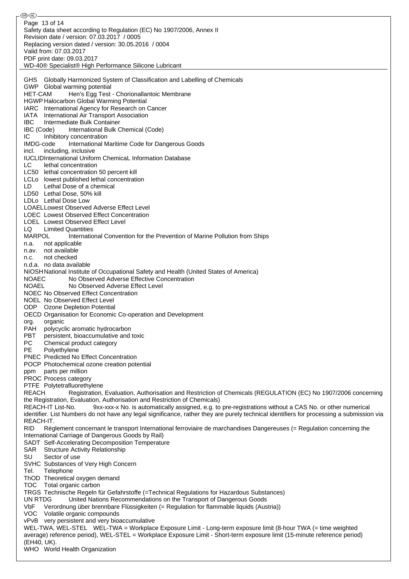⊛® Page 13 of 14Safety data sheet according to Regulation (EC) No 1907/2006, Annex II Revision date / version: 07.03.2017 / 0005 Replacing version dated / version: 30.05.2016 / 0004 Valid from: 07.03.2017 PDF print date: 09.03.2017 WD-40® Specialist® High Performance Silicone Lubricant GHS Globally Harmonized System of Classification and Labelling of Chemicals GWP Global warming potential HET-CAM Hen's Egg Test - Chorionallantoic Membrane HGWP Halocarbon Global Warming Potential IARC International Agency for Research on Cancer IATA International Air Transport Association IBC Intermediate Bulk Container IBC (Code) International Bulk Chemical (Code) IC Inhibitory concentration IMDG-code International Maritime Code for Dangerous Goods incl. including, inclusive IUCLIDInternational Uniform ChemicaL Information Database LC lethal concentration LC50 lethal concentration 50 percent kill LCLo lowest published lethal concentration LD Lethal Dose of a chemical LD50 Lethal Dose, 50% kill LDLo Lethal Dose Low LOAELLowest Observed Adverse Effect Level LOEC Lowest Observed Effect Concentration LOEL Lowest Observed Effect Level LQ Limited Quantities MARPOL International Convention for the Prevention of Marine Pollution from Ships n.a. not applicable n.av. not available n.c. not checked n.d.a. no data available NIOSHNational Institute of Occupational Safety and Health (United States of America) NOAEC No Observed Adverse Effective Concentration NOAEL No Observed Adverse Effect Level NOEC No Observed Effect Concentration NOEL No Observed Effect Level ODP Ozone Depletion Potential OECD Organisation for Economic Co-operation and Development org. organic<br>PAH polycycl polycyclic aromatic hydrocarbon PBT persistent, bioaccumulative and toxic PC Chemical product category PE Polyethylene PNEC Predicted No Effect Concentration POCP Photochemical ozone creation potential ppm parts per million PROC Process category PTFE Polytetrafluorethylene REACH Registration, Evaluation, Authorisation and Restriction of Chemicals (REGULATION (EC) No 1907/2006 concerning the Registration, Evaluation, Authorisation and Restriction of Chemicals) REACH-IT List-No. 9xx-xxx-x No. is automatically assigned, e.g. to pre-registrations without a CAS No. or other numerical identifier. List Numbers do not have any legal significance, rather they are purely technical identifiers for processing a submission via REACH-IT. RID Règlement concernant le transport International ferroviaire de marchandises Dangereuses (= Regulation concerning the International Carriage of Dangerous Goods by Rail) SADT Self-Accelerating Decomposition Temperature SAR Structure Activity Relationship SU Sector of use SVHC Substances of Very High Concern Tel. Telephone ThOD Theoretical oxygen demand TOC Total organic carbon TRGS Technische Regeln für Gefahrstoffe (=Technical Regulations for Hazardous Substances) UN RTDG United Nations Recommendations on the Transport of Dangerous Goods VbF Verordnung über brennbare Flüssigkeiten (= Regulation for flammable liquids (Austria)) VOC Volatile organic compounds vPvB very persistent and very bioaccumulative WEL-TWA, WEL-STEL WEL-TWA = Workplace Exposure Limit - Long-term exposure limit (8-hour TWA (= time weighted average) reference period), WEL-STEL = Workplace Exposure Limit - Short-term exposure limit (15-minute reference period) (EH40, UK). WHO World Health Organization